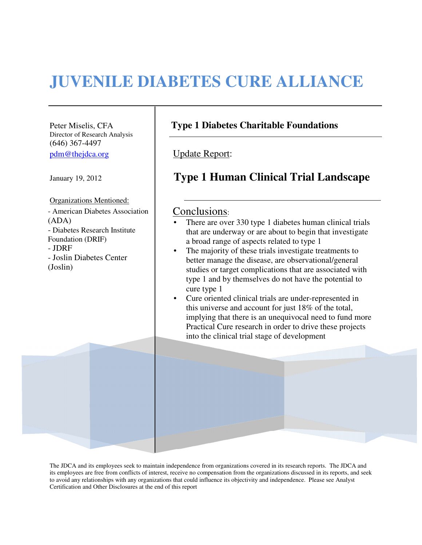# **JUVENILE DIABETES CURE ALLIANCE**

Director of Research Analysis (646) 367-4497 pdm@thejdca.org Update Report:

Organizations Mentioned:

- American Diabetes Association | Conclusions: (ADA) - Diabetes Research Institute Foundation (DRIF) - JDRF - Joslin Diabetes Center (Joslin)

## Peter Miselis, CFA **Type 1 Diabetes Charitable Foundations**

# January 19, 2012 **Type 1 Human Clinical Trial Landscape**

- There are over 330 type 1 diabetes human clinical trials that are underway or are about to begin that investigate a broad range of aspects related to type 1
- The majority of these trials investigate treatments to better manage the disease, are observational/general studies or target complications that are associated with type 1 and by themselves do not have the potential to cure type 1
- Cure oriented clinical trials are under-represented in this universe and account for just 18% of the total, implying that there is an unequivocal need to fund more Practical Cure research in order to drive these projects into the clinical trial stage of development

The JDCA and its employees seek to maintain independence from organizations covered in its research reports. The JDCA and its employees are free from conflicts of interest, receive no compensation from the organizations discussed in its reports, and seek to avoid any relationships with any organizations that could influence its objectivity and independence. Please see Analyst Certification and Other Disclosures at the end of this report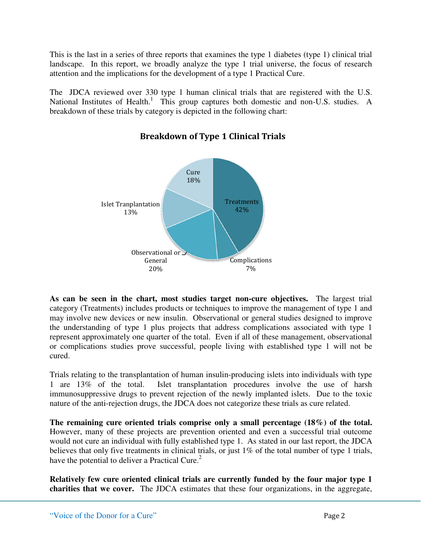This is the last in a series of three reports that examines the type 1 diabetes (type 1) clinical trial landscape. In this report, we broadly analyze the type 1 trial universe, the focus of research attention and the implications for the development of a type 1 Practical Cure.

The JDCA reviewed over 330 type 1 human clinical trials that are registered with the U.S. National Institutes of Health.<sup>1</sup> This group captures both domestic and non-U.S. studies. A breakdown of these trials by category is depicted in the following chart:



# Breakdown of Type 1 Clinical Trials

**As can be seen in the chart, most studies target non-cure objectives.** The largest trial category (Treatments) includes products or techniques to improve the management of type 1 and may involve new devices or new insulin. Observational or general studies designed to improve the understanding of type 1 plus projects that address complications associated with type 1 represent approximately one quarter of the total. Even if all of these management, observational or complications studies prove successful, people living with established type 1 will not be cured.

Trials relating to the transplantation of human insulin-producing islets into individuals with type 1 are 13% of the total. Islet transplantation procedures involve the use of harsh immunosuppressive drugs to prevent rejection of the newly implanted islets. Due to the toxic nature of the anti-rejection drugs, the JDCA does not categorize these trials as cure related.

**The remaining cure oriented trials comprise only a small percentage (18%) of the total.** However, many of these projects are prevention oriented and even a successful trial outcome would not cure an individual with fully established type 1. As stated in our last report, the JDCA believes that only five treatments in clinical trials, or just 1% of the total number of type 1 trials, have the potential to deliver a Practical Cure. $2$ 

**Relatively few cure oriented clinical trials are currently funded by the four major type 1 charities that we cover.** The JDCA estimates that these four organizations, in the aggregate,